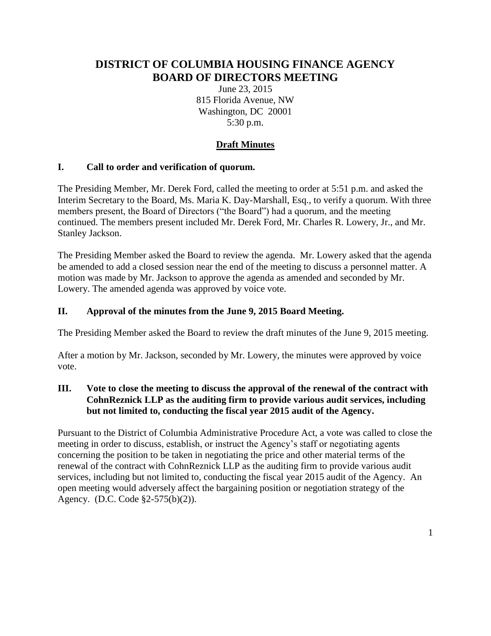# **DISTRICT OF COLUMBIA HOUSING FINANCE AGENCY BOARD OF DIRECTORS MEETING**

June 23, 2015 815 Florida Avenue, NW Washington, DC 20001 5:30 p.m.

## **Draft Minutes**

## **I. Call to order and verification of quorum.**

The Presiding Member, Mr. Derek Ford, called the meeting to order at 5:51 p.m. and asked the Interim Secretary to the Board, Ms. Maria K. Day-Marshall, Esq., to verify a quorum. With three members present, the Board of Directors ("the Board") had a quorum, and the meeting continued. The members present included Mr. Derek Ford, Mr. Charles R. Lowery, Jr., and Mr. Stanley Jackson.

The Presiding Member asked the Board to review the agenda. Mr. Lowery asked that the agenda be amended to add a closed session near the end of the meeting to discuss a personnel matter. A motion was made by Mr. Jackson to approve the agenda as amended and seconded by Mr. Lowery. The amended agenda was approved by voice vote.

## **II. Approval of the minutes from the June 9, 2015 Board Meeting.**

The Presiding Member asked the Board to review the draft minutes of the June 9, 2015 meeting.

After a motion by Mr. Jackson, seconded by Mr. Lowery, the minutes were approved by voice vote.

## **III. Vote to close the meeting to discuss the approval of the renewal of the contract with CohnReznick LLP as the auditing firm to provide various audit services, including but not limited to, conducting the fiscal year 2015 audit of the Agency.**

Pursuant to the District of Columbia Administrative Procedure Act, a vote was called to close the meeting in order to discuss, establish, or instruct the Agency's staff or negotiating agents concerning the position to be taken in negotiating the price and other material terms of the renewal of the contract with CohnReznick LLP as the auditing firm to provide various audit services, including but not limited to, conducting the fiscal year 2015 audit of the Agency. An open meeting would adversely affect the bargaining position or negotiation strategy of the Agency. (D.C. Code §2-575(b)(2)).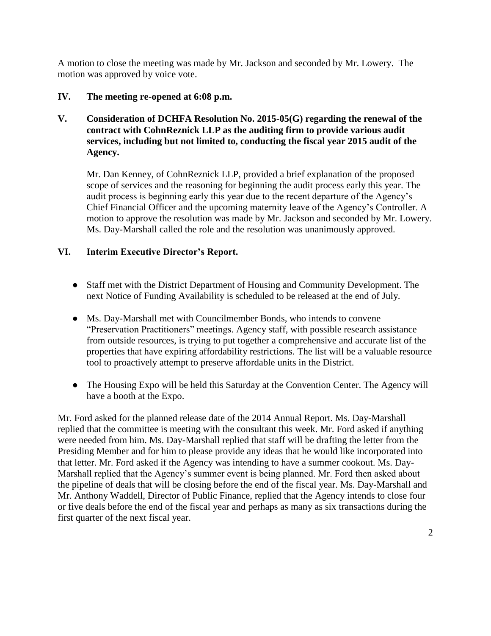A motion to close the meeting was made by Mr. Jackson and seconded by Mr. Lowery. The motion was approved by voice vote.

#### **IV. The meeting re-opened at 6:08 p.m.**

## **V. Consideration of DCHFA Resolution No. 2015-05(G) regarding the renewal of the contract with CohnReznick LLP as the auditing firm to provide various audit services, including but not limited to, conducting the fiscal year 2015 audit of the Agency.**

Mr. Dan Kenney, of CohnReznick LLP, provided a brief explanation of the proposed scope of services and the reasoning for beginning the audit process early this year. The audit process is beginning early this year due to the recent departure of the Agency's Chief Financial Officer and the upcoming maternity leave of the Agency's Controller. A motion to approve the resolution was made by Mr. Jackson and seconded by Mr. Lowery. Ms. Day-Marshall called the role and the resolution was unanimously approved.

#### **VI. Interim Executive Director's Report.**

- Staff met with the District Department of Housing and Community Development. The next Notice of Funding Availability is scheduled to be released at the end of July.
- Ms. Day-Marshall met with Councilmember Bonds, who intends to convene "Preservation Practitioners" meetings. Agency staff, with possible research assistance from outside resources, is trying to put together a comprehensive and accurate list of the properties that have expiring affordability restrictions. The list will be a valuable resource tool to proactively attempt to preserve affordable units in the District.
- The Housing Expo will be held this Saturday at the Convention Center. The Agency will have a booth at the Expo.

Mr. Ford asked for the planned release date of the 2014 Annual Report. Ms. Day-Marshall replied that the committee is meeting with the consultant this week. Mr. Ford asked if anything were needed from him. Ms. Day-Marshall replied that staff will be drafting the letter from the Presiding Member and for him to please provide any ideas that he would like incorporated into that letter. Mr. Ford asked if the Agency was intending to have a summer cookout. Ms. Day-Marshall replied that the Agency's summer event is being planned. Mr. Ford then asked about the pipeline of deals that will be closing before the end of the fiscal year. Ms. Day-Marshall and Mr. Anthony Waddell, Director of Public Finance, replied that the Agency intends to close four or five deals before the end of the fiscal year and perhaps as many as six transactions during the first quarter of the next fiscal year.